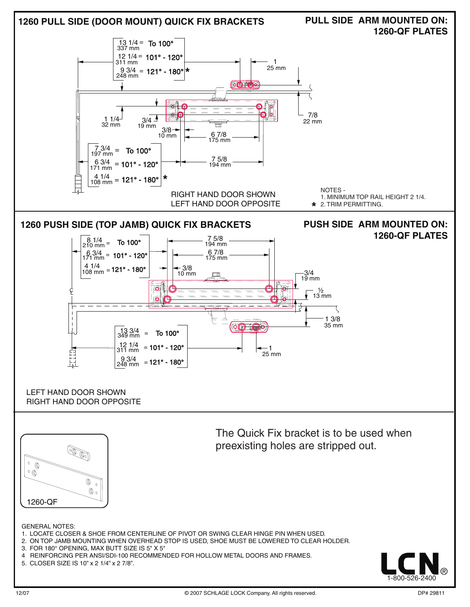